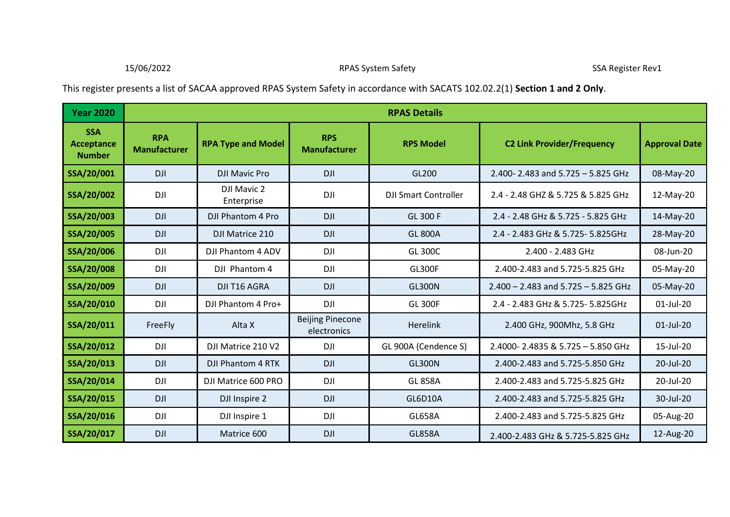This register presents a list of SACAA approved RPAS System Safety in accordance with SACATS 102.02.2(1) **Section 1 and 2 Only**.

| <b>Year 2020</b>                                 |                                   | <b>RPAS Details</b>       |                                        |                             |                                         |                      |  |  |
|--------------------------------------------------|-----------------------------------|---------------------------|----------------------------------------|-----------------------------|-----------------------------------------|----------------------|--|--|
| <b>SSA</b><br><b>Acceptance</b><br><b>Number</b> | <b>RPA</b><br><b>Manufacturer</b> | <b>RPA Type and Model</b> | <b>RPS</b><br><b>Manufacturer</b>      | <b>RPS Model</b>            | <b>C2 Link Provider/Frequency</b>       | <b>Approval Date</b> |  |  |
| SSA/20/001                                       | <b>DJI</b>                        | <b>DJI Mavic Pro</b>      | <b>DJI</b>                             | GL200                       | 2.400-2.483 and 5.725 - 5.825 GHz       | 08-May-20            |  |  |
| SSA/20/002                                       | <b>DJI</b>                        | DJI Mavic 2<br>Enterprise | <b>DJI</b>                             | <b>DJI Smart Controller</b> | 2.4 - 2.48 GHZ & 5.725 & 5.825 GHz      | 12-May-20            |  |  |
| SSA/20/003                                       | <b>DJI</b>                        | DJI Phantom 4 Pro         | <b>DJI</b>                             | <b>GL 300 F</b>             | 2.4 - 2.48 GHz & 5.725 - 5.825 GHz      | 14-May-20            |  |  |
| SSA/20/005                                       | <b>DJI</b>                        | DJI Matrice 210           | <b>DJI</b>                             | <b>GL 800A</b>              | 2.4 - 2.483 GHz & 5.725 - 5.825GHz      | 28-May-20            |  |  |
| SSA/20/006                                       | <b>DJI</b>                        | DJI Phantom 4 ADV         | <b>DJI</b>                             | <b>GL 300C</b>              | 2.400 - 2.483 GHz                       | 08-Jun-20            |  |  |
| SSA/20/008                                       | <b>DJI</b>                        | DJI Phantom 4             | <b>DJI</b>                             | <b>GL300F</b>               | 2.400-2.483 and 5.725-5.825 GHz         | 05-May-20            |  |  |
| SSA/20/009                                       | <b>DJI</b>                        | <b>DJI T16 AGRA</b>       | <b>DJI</b>                             | <b>GL300N</b>               | $2.400 - 2.483$ and $5.725 - 5.825$ GHz | 05-May-20            |  |  |
| SSA/20/010                                       | <b>DJI</b>                        | DJI Phantom 4 Pro+        | DJI                                    | <b>GL 300F</b>              | 2.4 - 2.483 GHz & 5.725- 5.825GHz       | 01-Jul-20            |  |  |
| SSA/20/011                                       | FreeFly                           | Alta X                    | <b>Beijing Pinecone</b><br>electronics | Herelink                    | 2.400 GHz, 900Mhz, 5.8 GHz              | $01$ -Jul-20         |  |  |
| SSA/20/012                                       | DJI                               | DJI Matrice 210 V2        | <b>DJI</b>                             | GL 900A (Cendence S)        | 2.4000-2.4835 & 5.725 - 5.850 GHz       | 15-Jul-20            |  |  |
| SSA/20/013                                       | <b>DJI</b>                        | <b>DJI Phantom 4 RTK</b>  | <b>DJI</b>                             | <b>GL300N</b>               | 2.400-2.483 and 5.725-5.850 GHz         | 20-Jul-20            |  |  |
| SSA/20/014                                       | DJI                               | DJI Matrice 600 PRO       | <b>DJI</b>                             | <b>GL 858A</b>              | 2.400-2.483 and 5.725-5.825 GHz         | 20-Jul-20            |  |  |
| SSA/20/015                                       | <b>DJI</b>                        | DJI Inspire 2             | <b>DJI</b>                             | GL6D10A                     | 2.400-2.483 and 5.725-5.825 GHz         | 30-Jul-20            |  |  |
| SSA/20/016                                       | DJI                               | DJI Inspire 1             | <b>DJI</b>                             | <b>GL658A</b>               | 2.400-2.483 and 5.725-5.825 GHz         | 05-Aug-20            |  |  |
| SSA/20/017                                       | <b>DJI</b>                        | Matrice 600               | <b>DJI</b>                             | <b>GL858A</b>               | 2.400-2.483 GHz & 5.725-5.825 GHz       | 12-Aug-20            |  |  |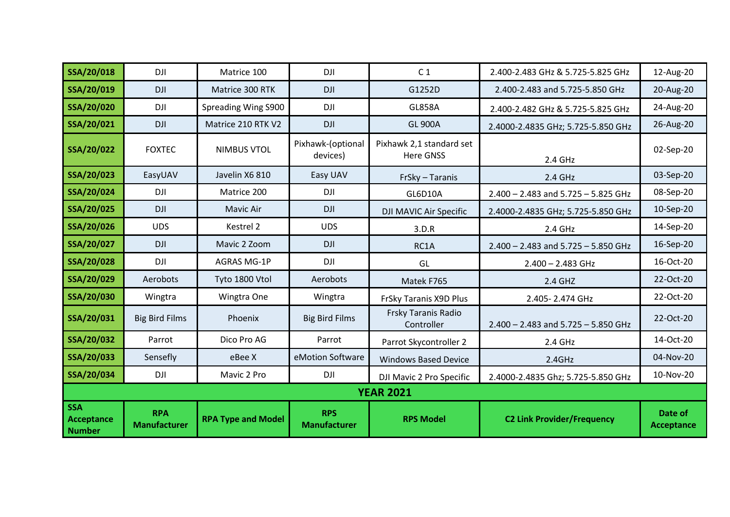| SSA/20/018                                | DJI                               | Matrice 100               | <b>DJI</b>                        | C <sub>1</sub>                               | 2.400-2.483 GHz & 5.725-5.825 GHz       | 12-Aug-20             |  |
|-------------------------------------------|-----------------------------------|---------------------------|-----------------------------------|----------------------------------------------|-----------------------------------------|-----------------------|--|
| SSA/20/019                                | <b>DJI</b>                        | Matrice 300 RTK           | <b>DJI</b>                        | G1252D                                       | 2.400-2.483 and 5.725-5.850 GHz         | 20-Aug-20             |  |
| SSA/20/020                                | DJI                               | Spreading Wing S900       | <b>DJI</b>                        | <b>GL858A</b>                                | 2.400-2.482 GHz & 5.725-5.825 GHz       | 24-Aug-20             |  |
| SSA/20/021                                | <b>DJI</b>                        | Matrice 210 RTK V2        | <b>DJI</b>                        | <b>GL 900A</b>                               | 2.4000-2.4835 GHz; 5.725-5.850 GHz      | 26-Aug-20             |  |
| SSA/20/022                                | <b>FOXTEC</b>                     | <b>NIMBUS VTOL</b>        | Pixhawk-(optional<br>devices)     | Pixhawk 2,1 standard set<br><b>Here GNSS</b> | 2.4 GHz                                 | 02-Sep-20             |  |
| SSA/20/023                                | EasyUAV                           | Javelin X6 810            | Easy UAV                          | FrSky - Taranis                              | 2.4 GHz                                 | 03-Sep-20             |  |
| SSA/20/024                                | <b>DJI</b>                        | Matrice 200               | <b>DJI</b>                        | <b>GL6D10A</b>                               | $2.400 - 2.483$ and $5.725 - 5.825$ GHz | 08-Sep-20             |  |
| SSA/20/025                                | <b>DJI</b>                        | Mavic Air                 | <b>DJI</b>                        | DJI MAVIC Air Specific                       | 2.4000-2.4835 GHz; 5.725-5.850 GHz      | 10-Sep-20             |  |
| SSA/20/026                                | <b>UDS</b>                        | Kestrel 2                 | <b>UDS</b>                        | 3.D.R                                        | 2.4 GHz                                 | 14-Sep-20             |  |
| SSA/20/027                                | <b>DJI</b>                        | Mavic 2 Zoom              | <b>DJI</b>                        | RC1A                                         | $2.400 - 2.483$ and $5.725 - 5.850$ GHz | 16-Sep-20             |  |
| SSA/20/028                                | <b>DJI</b>                        | <b>AGRAS MG-1P</b>        | <b>DJI</b>                        | GL                                           | $2.400 - 2.483$ GHz                     | 16-Oct-20             |  |
| SSA/20/029                                | Aerobots                          | Tyto 1800 Vtol            | Aerobots                          | Matek F765                                   | 2.4 GHZ                                 | 22-Oct-20             |  |
| SSA/20/030                                | Wingtra                           | Wingtra One               | Wingtra                           | FrSky Taranis X9D Plus                       | 2.405-2.474 GHz                         | 22-Oct-20             |  |
| SSA/20/031                                | <b>Big Bird Films</b>             | Phoenix                   | <b>Big Bird Films</b>             | Frsky Taranis Radio<br>Controller            | $2.400 - 2.483$ and $5.725 - 5.850$ GHz | 22-Oct-20             |  |
| SSA/20/032                                | Parrot                            | Dico Pro AG               | Parrot                            | Parrot Skycontroller 2                       | 2.4 GHz                                 | 14-Oct-20             |  |
| SSA/20/033                                | Sensefly                          | eBee X                    | eMotion Software                  | <b>Windows Based Device</b>                  | 2.4GHz                                  | 04-Nov-20             |  |
| SSA/20/034                                | <b>DJI</b>                        | Mavic 2 Pro               | <b>DJI</b>                        | DJI Mavic 2 Pro Specific                     | 2.4000-2.4835 Ghz; 5.725-5.850 GHz      | 10-Nov-20             |  |
| <b>YEAR 2021</b>                          |                                   |                           |                                   |                                              |                                         |                       |  |
| <b>SSA</b><br>Acceptance<br><b>Number</b> | <b>RPA</b><br><b>Manufacturer</b> | <b>RPA Type and Model</b> | <b>RPS</b><br><b>Manufacturer</b> | <b>RPS Model</b>                             | <b>C2 Link Provider/Frequency</b>       | Date of<br>Acceptance |  |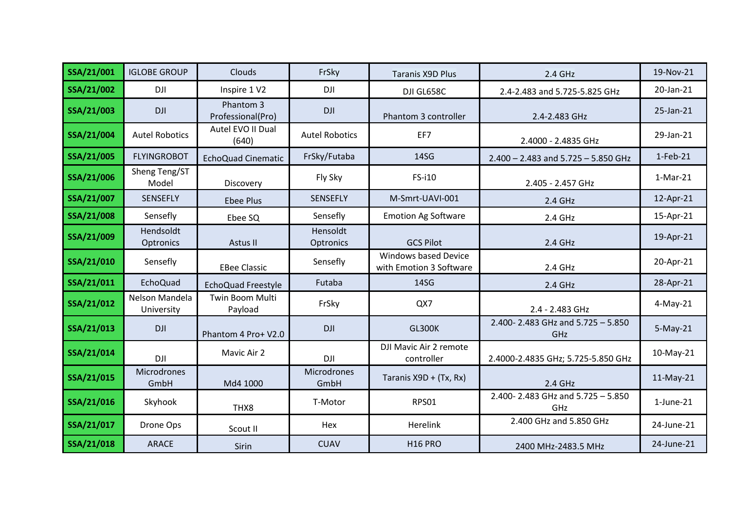| SSA/21/001 | <b>IGLOBE GROUP</b>          | Clouds                         | FrSky                 | <b>Taranis X9D Plus</b>                         | 2.4 GHz                                    | 19-Nov-21       |
|------------|------------------------------|--------------------------------|-----------------------|-------------------------------------------------|--------------------------------------------|-----------------|
| SSA/21/002 | DJI                          | Inspire 1 V2                   | <b>DJI</b>            | DJI GL658C                                      | 2.4-2.483 and 5.725-5.825 GHz              | 20-Jan-21       |
| SSA/21/003 | <b>DJI</b>                   | Phantom 3<br>Professional(Pro) | <b>DJI</b>            | Phantom 3 controller                            | 2.4-2.483 GHz                              | 25-Jan-21       |
| SSA/21/004 | <b>Autel Robotics</b>        | Autel EVO II Dual<br>(640)     | <b>Autel Robotics</b> | EF7                                             | 2.4000 - 2.4835 GHz                        | 29-Jan-21       |
| SSA/21/005 | <b>FLYINGROBOT</b>           | <b>EchoQuad Cinematic</b>      | FrSky/Futaba          | 14SG                                            | $2.400 - 2.483$ and $5.725 - 5.850$ GHz    | $1-Feb-21$      |
| SSA/21/006 | Sheng Teng/ST<br>Model       | Discovery                      | Fly Sky               | FS-i10                                          | 2.405 - 2.457 GHz                          | $1-Mar-21$      |
| SSA/21/007 | <b>SENSEFLY</b>              | <b>Ebee Plus</b>               | <b>SENSEFLY</b>       | M-Smrt-UAVI-001                                 | 2.4 GHz                                    | 12-Apr-21       |
| SSA/21/008 | Sensefly                     | Ebee SQ                        | Sensefly              | <b>Emotion Ag Software</b>                      | 2.4 GHz                                    | 15-Apr-21       |
| SSA/21/009 | Hendsoldt<br>Optronics       | Astus II                       | Hensoldt<br>Optronics | <b>GCS Pilot</b>                                | 2.4 GHz                                    | 19-Apr-21       |
| SSA/21/010 | Sensefly                     | <b>EBee Classic</b>            | Sensefly              | Windows based Device<br>with Emotion 3 Software | 2.4 GHz                                    | 20-Apr-21       |
| SSA/21/011 | EchoQuad                     | EchoQuad Freestyle             | Futaba                | 14SG                                            | 2.4 GHz                                    | 28-Apr-21       |
| SSA/21/012 | Nelson Mandela<br>University | Twin Boom Multi<br>Payload     | FrSky                 | QX7                                             | 2.4 - 2.483 GHz                            | $4$ -May-21     |
| SSA/21/013 | <b>DJI</b>                   | Phantom 4 Pro+ V2.0            | <b>DJI</b>            | <b>GL300K</b>                                   | 2.400-2.483 GHz and $5.725 - 5.850$<br>GHz | $5-May-21$      |
| SSA/21/014 | DJI                          | Mavic Air 2                    | <b>DJI</b>            | DJI Mavic Air 2 remote<br>controller            | 2.4000-2.4835 GHz; 5.725-5.850 GHz         | 10-May-21       |
| SSA/21/015 | <b>Microdrones</b><br>GmbH   | Md4 1000                       | Microdrones<br>GmbH   | Taranis X9D + (Tx, Rx)                          | 2.4 GHz                                    | 11-May-21       |
| SSA/21/016 | Skyhook                      | THX8                           | T-Motor               | <b>RPS01</b>                                    | 2.400-2.483 GHz and 5.725 - 5.850<br>GHz   | $1$ -June- $21$ |
| SSA/21/017 | Drone Ops                    | Scout II                       | Hex                   | Herelink                                        | 2.400 GHz and 5.850 GHz                    | 24-June-21      |
| SSA/21/018 | <b>ARACE</b>                 | Sirin                          | <b>CUAV</b>           | <b>H16 PRO</b>                                  | 2400 MHz-2483.5 MHz                        | 24-June-21      |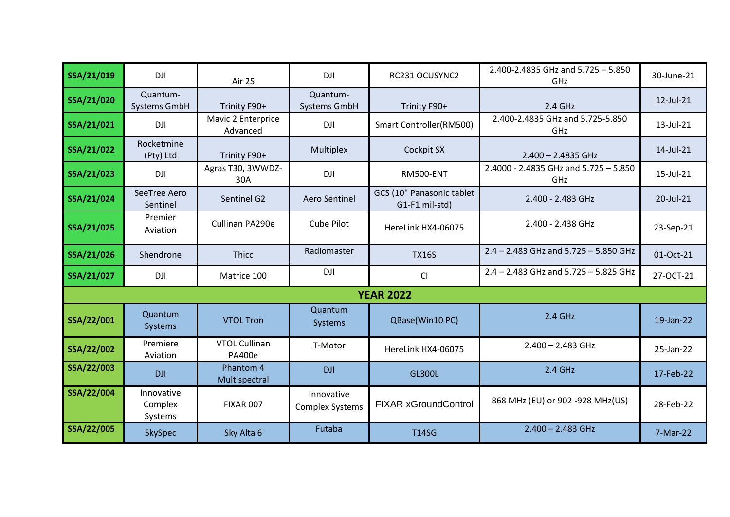| SSA/21/019 | <b>DJI</b>                       | Air 2S                                | <b>DJI</b>                           | RC231 OCUSYNC2                              | 2.400-2.4835 GHz and 5.725 - 5.850<br>GHz        | 30-June-21 |
|------------|----------------------------------|---------------------------------------|--------------------------------------|---------------------------------------------|--------------------------------------------------|------------|
| SSA/21/020 | Quantum-<br>Systems GmbH         | Trinity F90+                          | Quantum-<br>Systems GmbH             | Trinity F90+                                | 2.4 GHz                                          | 12-Jul-21  |
| SSA/21/021 | <b>DJI</b>                       | Mavic 2 Enterprice<br>Advanced        | <b>DJI</b>                           | Smart Controller(RM500)                     | 2.400-2.4835 GHz and 5.725-5.850<br>GHz          | 13-Jul-21  |
| SSA/21/022 | Rocketmine<br>(Pty) Ltd          | Trinity F90+                          | Multiplex                            | Cockpit SX                                  | $2.400 - 2.4835$ GHz                             | 14-Jul-21  |
| SSA/21/023 | <b>DJI</b>                       | Agras T30, 3WWDZ-<br>30A              | <b>DJI</b>                           | <b>RM500-ENT</b>                            | $2.4000 - 2.4835$ GHz and $5.725 - 5.850$<br>GHz | 15-Jul-21  |
| SSA/21/024 | SeeTree Aero<br>Sentinel         | Sentinel G2                           | Aero Sentinel                        | GCS (10" Panasonic tablet<br>G1-F1 mil-std) | 2.400 - 2.483 GHz                                | 20-Jul-21  |
| SSA/21/025 | Premier<br>Aviation              | Cullinan PA290e                       | Cube Pilot                           | HereLink HX4-06075                          | 2.400 - 2.438 GHz                                | 23-Sep-21  |
| SSA/21/026 | Shendrone                        | <b>Thicc</b>                          | Radiomaster                          | <b>TX16S</b>                                | $2.4 - 2.483$ GHz and $5.725 - 5.850$ GHz        | 01-Oct-21  |
| SSA/21/027 | <b>DJI</b>                       | Matrice 100                           | <b>DJI</b>                           | CI                                          | $2.4 - 2.483$ GHz and $5.725 - 5.825$ GHz        | 27-OCT-21  |
|            |                                  |                                       |                                      | <b>YEAR 2022</b>                            |                                                  |            |
| SSA/22/001 | Quantum<br><b>Systems</b>        | <b>VTOL Tron</b>                      | Quantum<br>Systems                   | QBase(Win10 PC)                             | 2.4 GHz                                          | 19-Jan-22  |
| SSA/22/002 | Premiere<br>Aviation             | <b>VTOL Cullinan</b><br><b>PA400e</b> | T-Motor                              | HereLink HX4-06075                          | $2.400 - 2.483$ GHz                              | 25-Jan-22  |
| SSA/22/003 | <b>DJI</b>                       | Phantom 4<br>Multispectral            | <b>DJI</b>                           | <b>GL300L</b>                               | 2.4 GHz                                          | 17-Feb-22  |
| SSA/22/004 | Innovative<br>Complex<br>Systems | <b>FIXAR 007</b>                      | Innovative<br><b>Complex Systems</b> | <b>FIXAR xGroundControl</b>                 | 868 MHz (EU) or 902 -928 MHz(US)                 | 28-Feb-22  |
| SSA/22/005 | SkySpec                          | Sky Alta 6                            | Futaba                               | <b>T14SG</b>                                | $2.400 - 2.483$ GHz                              | 7-Mar-22   |